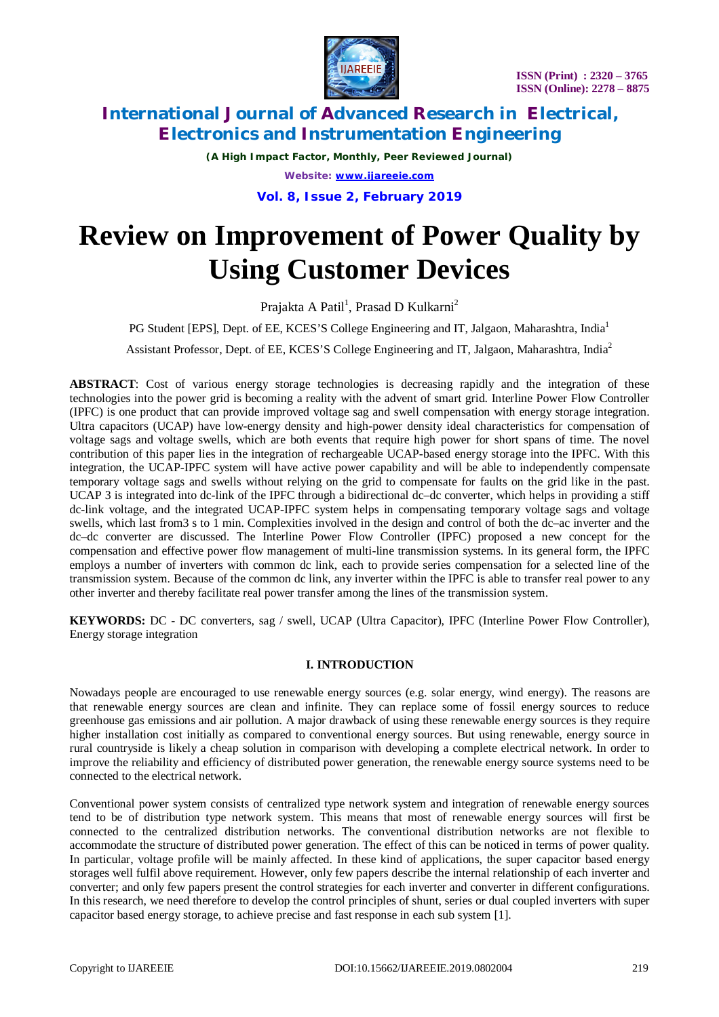

*(A High Impact Factor, Monthly, Peer Reviewed Journal) Website: [www.ijareeie.com](http://www.ijareeie.com)*

**Vol. 8, Issue 2, February 2019**

# **Review on Improvement of Power Quality by Using Customer Devices**

Prajakta A Patil<sup>1</sup>, Prasad D Kulkarni<sup>2</sup>

PG Student [EPS], Dept. of EE, KCES'S College Engineering and IT, Jalgaon, Maharashtra, India<sup>1</sup>

Assistant Professor, Dept. of EE, KCES'S College Engineering and IT, Jalgaon, Maharashtra, India<sup>2</sup>

ABSTRACT: Cost of various energy storage technologies is decreasing rapidly and the integration of these technologies into the power grid is becoming a reality with the advent of smart grid. Interline Power Flow Controller (IPFC) is one product that can provide improved voltage sag and swell compensation with energy storage integration. Ultra capacitors (UCAP) have low-energy density and high-power density ideal characteristics for compensation of voltage sags and voltage swells, which are both events that require high power for short spans of time. The novel contribution of this paper lies in the integration of rechargeable UCAP-based energy storage into the IPFC. With this integration, the UCAP-IPFC system will have active power capability and will be able to independently compensate temporary voltage sags and swells without relying on the grid to compensate for faults on the grid like in the past. UCAP 3 is integrated into dc-link of the IPFC through a bidirectional dc–dc converter, which helps in providing a stiff dc-link voltage, and the integrated UCAP-IPFC system helps in compensating temporary voltage sags and voltage swells, which last from3 s to 1 min. Complexities involved in the design and control of both the dc–ac inverter and the dc–dc converter are discussed. The Interline Power Flow Controller (IPFC) proposed a new concept for the compensation and effective power flow management of multi-line transmission systems. In its general form, the IPFC employs a number of inverters with common dc link, each to provide series compensation for a selected line of the transmission system. Because of the common dc link, any inverter within the IPFC is able to transfer real power to any other inverter and thereby facilitate real power transfer among the lines of the transmission system.

**KEYWORDS:** DC - DC converters, sag / swell, UCAP (Ultra Capacitor), IPFC (Interline Power Flow Controller), Energy storage integration

### **I. INTRODUCTION**

Nowadays people are encouraged to use renewable energy sources (e.g. solar energy, wind energy). The reasons are that renewable energy sources are clean and infinite. They can replace some of fossil energy sources to reduce greenhouse gas emissions and air pollution. A major drawback of using these renewable energy sources is they require higher installation cost initially as compared to conventional energy sources. But using renewable, energy source in rural countryside is likely a cheap solution in comparison with developing a complete electrical network. In order to improve the reliability and efficiency of distributed power generation, the renewable energy source systems need to be connected to the electrical network.

Conventional power system consists of centralized type network system and integration of renewable energy sources tend to be of distribution type network system. This means that most of renewable energy sources will first be connected to the centralized distribution networks. The conventional distribution networks are not flexible to accommodate the structure of distributed power generation. The effect of this can be noticed in terms of power quality. In particular, voltage profile will be mainly affected. In these kind of applications, the super capacitor based energy storages well fulfil above requirement. However, only few papers describe the internal relationship of each inverter and converter; and only few papers present the control strategies for each inverter and converter in different configurations. In this research, we need therefore to develop the control principles of shunt, series or dual coupled inverters with super capacitor based energy storage, to achieve precise and fast response in each sub system [1].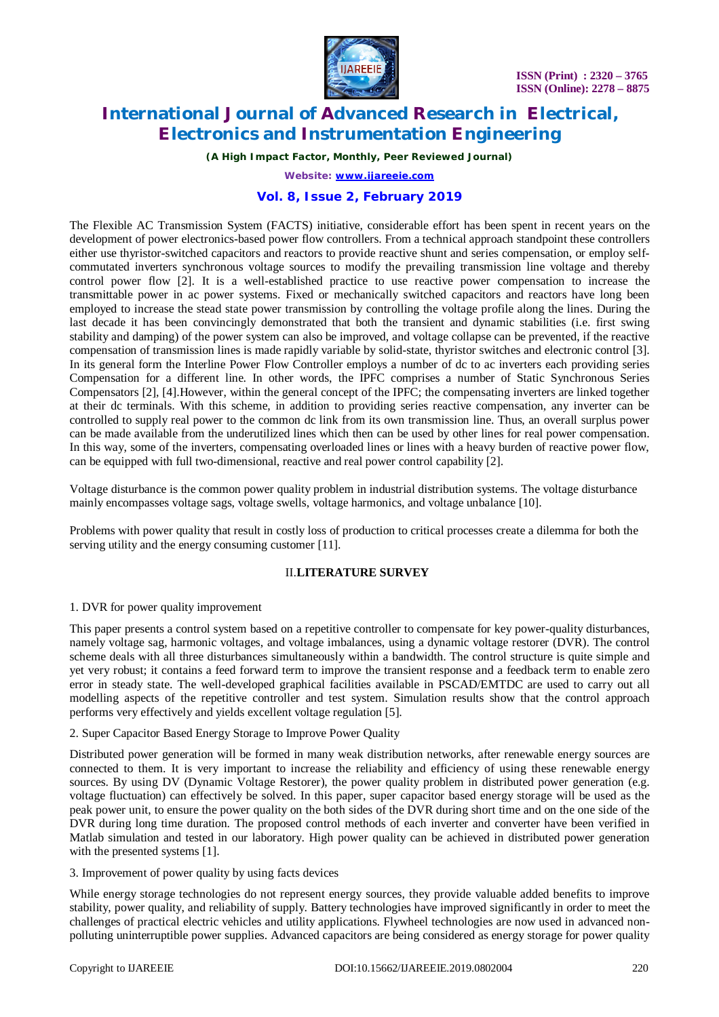

*(A High Impact Factor, Monthly, Peer Reviewed Journal)*

*Website: [www.ijareeie.com](http://www.ijareeie.com)*

### **Vol. 8, Issue 2, February 2019**

The Flexible AC Transmission System (FACTS) initiative, considerable effort has been spent in recent years on the development of power electronics-based power flow controllers. From a technical approach standpoint these controllers either use thyristor-switched capacitors and reactors to provide reactive shunt and series compensation, or employ selfcommutated inverters synchronous voltage sources to modify the prevailing transmission line voltage and thereby control power flow [2]. It is a well-established practice to use reactive power compensation to increase the transmittable power in ac power systems. Fixed or mechanically switched capacitors and reactors have long been employed to increase the stead state power transmission by controlling the voltage profile along the lines. During the last decade it has been convincingly demonstrated that both the transient and dynamic stabilities (i.e. first swing stability and damping) of the power system can also be improved, and voltage collapse can be prevented, if the reactive compensation of transmission lines is made rapidly variable by solid-state, thyristor switches and electronic control [3]. In its general form the Interline Power Flow Controller employs a number of dc to ac inverters each providing series Compensation for a different line. In other words, the IPFC comprises a number of Static Synchronous Series Compensators [2], [4].However, within the general concept of the IPFC; the compensating inverters are linked together at their dc terminals. With this scheme, in addition to providing series reactive compensation, any inverter can be controlled to supply real power to the common dc link from its own transmission line. Thus, an overall surplus power can be made available from the underutilized lines which then can be used by other lines for real power compensation. In this way, some of the inverters, compensating overloaded lines or lines with a heavy burden of reactive power flow, can be equipped with full two-dimensional, reactive and real power control capability [2].

Voltage disturbance is the common power quality problem in industrial distribution systems. The voltage disturbance mainly encompasses voltage sags, voltage swells, voltage harmonics, and voltage unbalance [10].

Problems with power quality that result in costly loss of production to critical processes create a dilemma for both the serving utility and the energy consuming customer [11].

#### II.**LITERATURE SURVEY**

#### 1. DVR for power quality improvement

This paper presents a control system based on a repetitive controller to compensate for key power-quality disturbances, namely voltage sag, harmonic voltages, and voltage imbalances, using a dynamic voltage restorer (DVR). The control scheme deals with all three disturbances simultaneously within a bandwidth. The control structure is quite simple and yet very robust; it contains a feed forward term to improve the transient response and a feedback term to enable zero error in steady state. The well-developed graphical facilities available in PSCAD/EMTDC are used to carry out all modelling aspects of the repetitive controller and test system. Simulation results show that the control approach performs very effectively and yields excellent voltage regulation [5].

#### 2. Super Capacitor Based Energy Storage to Improve Power Quality

Distributed power generation will be formed in many weak distribution networks, after renewable energy sources are connected to them. It is very important to increase the reliability and efficiency of using these renewable energy sources. By using DV (Dynamic Voltage Restorer), the power quality problem in distributed power generation (e.g. voltage fluctuation) can effectively be solved. In this paper, super capacitor based energy storage will be used as the peak power unit, to ensure the power quality on the both sides of the DVR during short time and on the one side of the DVR during long time duration. The proposed control methods of each inverter and converter have been verified in Matlab simulation and tested in our laboratory. High power quality can be achieved in distributed power generation with the presented systems [1].

3. Improvement of power quality by using facts devices

While energy storage technologies do not represent energy sources, they provide valuable added benefits to improve stability, power quality, and reliability of supply. Battery technologies have improved significantly in order to meet the challenges of practical electric vehicles and utility applications. Flywheel technologies are now used in advanced nonpolluting uninterruptible power supplies. Advanced capacitors are being considered as energy storage for power quality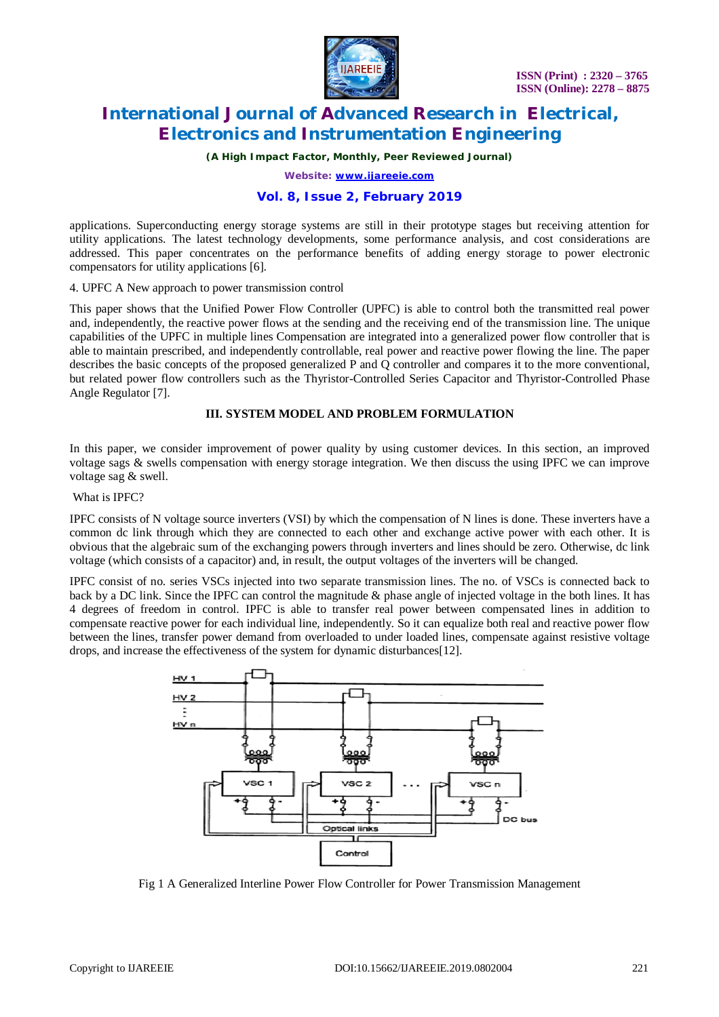

*(A High Impact Factor, Monthly, Peer Reviewed Journal)*

*Website: [www.ijareeie.com](http://www.ijareeie.com)*

### **Vol. 8, Issue 2, February 2019**

applications. Superconducting energy storage systems are still in their prototype stages but receiving attention for utility applications. The latest technology developments, some performance analysis, and cost considerations are addressed. This paper concentrates on the performance benefits of adding energy storage to power electronic compensators for utility applications [6].

4. UPFC A New approach to power transmission control

This paper shows that the Unified Power Flow Controller (UPFC) is able to control both the transmitted real power and, independently, the reactive power flows at the sending and the receiving end of the transmission line. The unique capabilities of the UPFC in multiple lines Compensation are integrated into a generalized power flow controller that is able to maintain prescribed, and independently controllable, real power and reactive power flowing the line. The paper describes the basic concepts of the proposed generalized P and Q controller and compares it to the more conventional, but related power flow controllers such as the Thyristor-Controlled Series Capacitor and Thyristor-Controlled Phase Angle Regulator [7].

#### **III. SYSTEM MODEL AND PROBLEM FORMULATION**

In this paper, we consider improvement of power quality by using customer devices. In this section, an improved voltage sags & swells compensation with energy storage integration. We then discuss the using IPFC we can improve voltage sag & swell.

#### What is IPFC?

IPFC consists of N voltage source inverters (VSI) by which the compensation of N lines is done. These inverters have a common dc link through which they are connected to each other and exchange active power with each other. It is obvious that the algebraic sum of the exchanging powers through inverters and lines should be zero. Otherwise, dc link voltage (which consists of a capacitor) and, in result, the output voltages of the inverters will be changed.

IPFC consist of no. series VSCs injected into two separate transmission lines. The no. of VSCs is connected back to back by a DC link. Since the IPFC can control the magnitude & phase angle of injected voltage in the both lines. It has 4 degrees of freedom in control. IPFC is able to transfer real power between compensated lines in addition to compensate reactive power for each individual line, independently. So it can equalize both real and reactive power flow between the lines, transfer power demand from overloaded to under loaded lines, compensate against resistive voltage drops, and increase the effectiveness of the system for dynamic disturbances[12].



Fig 1 A Generalized Interline Power Flow Controller for Power Transmission Management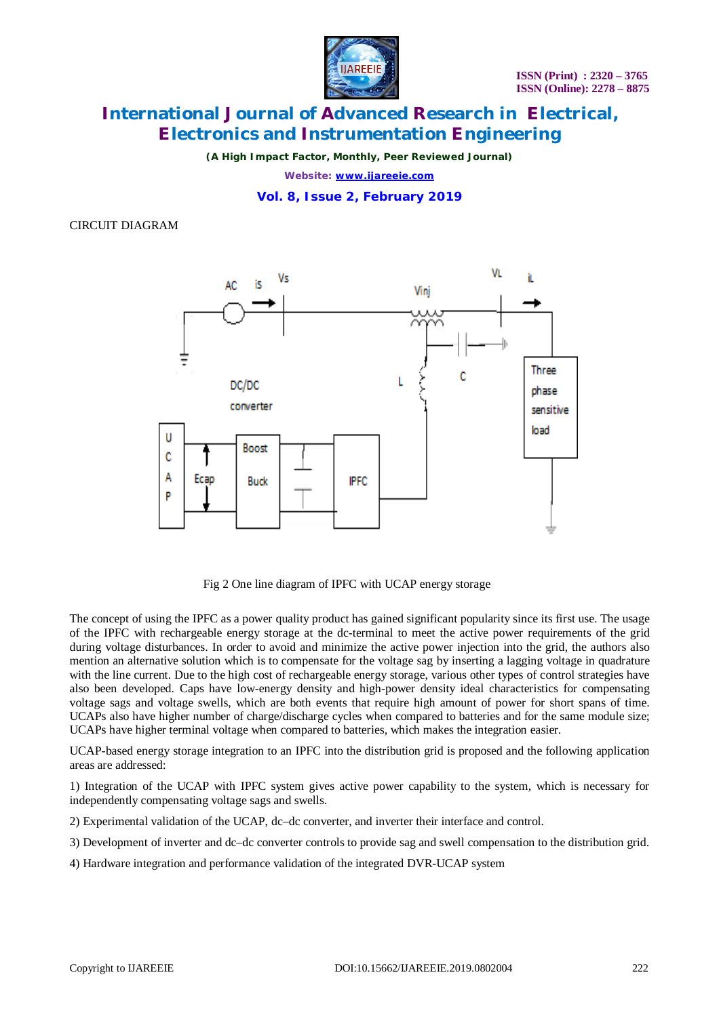

*(A High Impact Factor, Monthly, Peer Reviewed Journal)*

*Website: [www.ijareeie.com](http://www.ijareeie.com)*

**Vol. 8, Issue 2, February 2019**

CIRCUIT DIAGRAM



Fig 2 One line diagram of IPFC with UCAP energy storage

The concept of using the IPFC as a power quality product has gained significant popularity since its first use. The usage of the IPFC with rechargeable energy storage at the dc-terminal to meet the active power requirements of the grid during voltage disturbances. In order to avoid and minimize the active power injection into the grid, the authors also mention an alternative solution which is to compensate for the voltage sag by inserting a lagging voltage in quadrature with the line current. Due to the high cost of rechargeable energy storage, various other types of control strategies have also been developed. Caps have low-energy density and high-power density ideal characteristics for compensating voltage sags and voltage swells, which are both events that require high amount of power for short spans of time. UCAPs also have higher number of charge/discharge cycles when compared to batteries and for the same module size; UCAPs have higher terminal voltage when compared to batteries, which makes the integration easier.

UCAP-based energy storage integration to an IPFC into the distribution grid is proposed and the following application areas are addressed:

1) Integration of the UCAP with IPFC system gives active power capability to the system, which is necessary for independently compensating voltage sags and swells.

2) Experimental validation of the UCAP, dc–dc converter, and inverter their interface and control.

3) Development of inverter and dc–dc converter controls to provide sag and swell compensation to the distribution grid.

4) Hardware integration and performance validation of the integrated DVR-UCAP system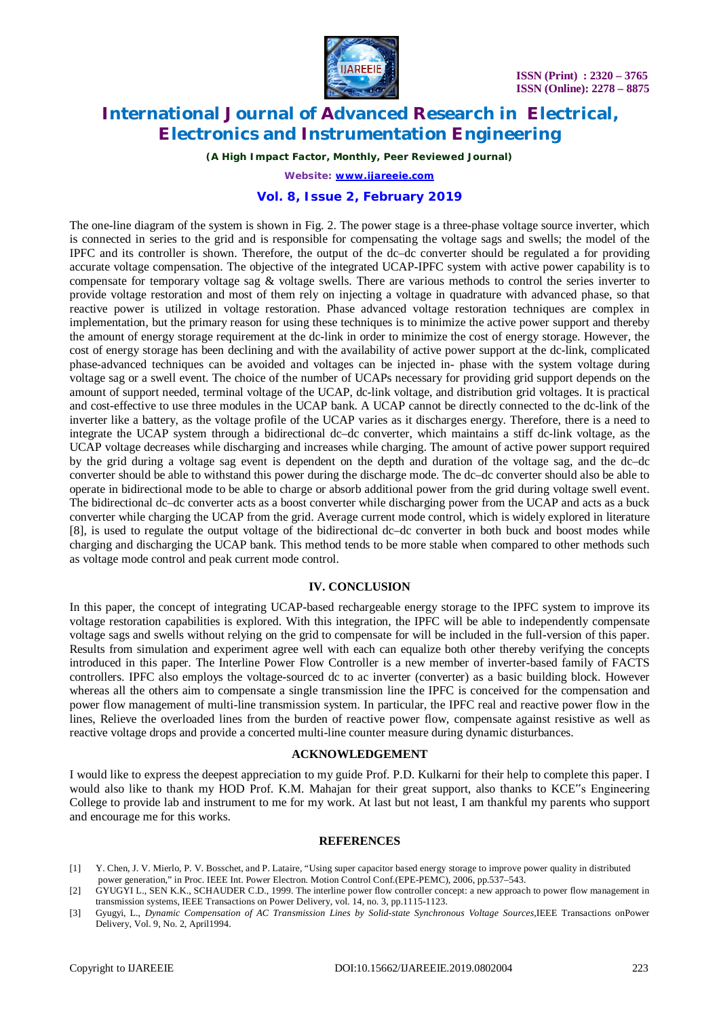

*(A High Impact Factor, Monthly, Peer Reviewed Journal)*

*Website: [www.ijareeie.com](http://www.ijareeie.com)*

#### **Vol. 8, Issue 2, February 2019**

The one-line diagram of the system is shown in Fig. 2. The power stage is a three-phase voltage source inverter, which is connected in series to the grid and is responsible for compensating the voltage sags and swells; the model of the IPFC and its controller is shown. Therefore, the output of the dc–dc converter should be regulated a for providing accurate voltage compensation. The objective of the integrated UCAP-IPFC system with active power capability is to compensate for temporary voltage sag & voltage swells. There are various methods to control the series inverter to provide voltage restoration and most of them rely on injecting a voltage in quadrature with advanced phase, so that reactive power is utilized in voltage restoration. Phase advanced voltage restoration techniques are complex in implementation, but the primary reason for using these techniques is to minimize the active power support and thereby the amount of energy storage requirement at the dc-link in order to minimize the cost of energy storage. However, the cost of energy storage has been declining and with the availability of active power support at the dc-link, complicated phase-advanced techniques can be avoided and voltages can be injected in- phase with the system voltage during voltage sag or a swell event. The choice of the number of UCAPs necessary for providing grid support depends on the amount of support needed, terminal voltage of the UCAP, dc-link voltage, and distribution grid voltages. It is practical and cost-effective to use three modules in the UCAP bank. A UCAP cannot be directly connected to the dc-link of the inverter like a battery, as the voltage profile of the UCAP varies as it discharges energy. Therefore, there is a need to integrate the UCAP system through a bidirectional dc–dc converter, which maintains a stiff dc-link voltage, as the UCAP voltage decreases while discharging and increases while charging. The amount of active power support required by the grid during a voltage sag event is dependent on the depth and duration of the voltage sag, and the dc–dc converter should be able to withstand this power during the discharge mode. The dc–dc converter should also be able to operate in bidirectional mode to be able to charge or absorb additional power from the grid during voltage swell event. The bidirectional dc–dc converter acts as a boost converter while discharging power from the UCAP and acts as a buck converter while charging the UCAP from the grid. Average current mode control, which is widely explored in literature [8], is used to regulate the output voltage of the bidirectional dc–dc converter in both buck and boost modes while charging and discharging the UCAP bank. This method tends to be more stable when compared to other methods such as voltage mode control and peak current mode control.

#### **IV. CONCLUSION**

In this paper, the concept of integrating UCAP-based rechargeable energy storage to the IPFC system to improve its voltage restoration capabilities is explored. With this integration, the IPFC will be able to independently compensate voltage sags and swells without relying on the grid to compensate for will be included in the full-version of this paper. Results from simulation and experiment agree well with each can equalize both other thereby verifying the concepts introduced in this paper. The Interline Power Flow Controller is a new member of inverter-based family of FACTS controllers. IPFC also employs the voltage-sourced dc to ac inverter (converter) as a basic building block. However whereas all the others aim to compensate a single transmission line the IPFC is conceived for the compensation and power flow management of multi-line transmission system. In particular, the IPFC real and reactive power flow in the lines, Relieve the overloaded lines from the burden of reactive power flow, compensate against resistive as well as reactive voltage drops and provide a concerted multi-line counter measure during dynamic disturbances.

#### **ACKNOWLEDGEMENT**

I would like to express the deepest appreciation to my guide Prof. P.D. Kulkarni for their help to complete this paper. I would also like to thank my HOD Prof. K.M. Mahajan for their great support, also thanks to KCE"s Engineering College to provide lab and instrument to me for my work. At last but not least, I am thankful my parents who support and encourage me for this works.

#### **REFERENCES**

- [1] Y. Chen, J. V. Mierlo, P. V. Bosschet, and P. Lataire, "Using super capacitor based energy storage to improve power quality in distributed power generation," in Proc. IEEE Int. Power Electron. Motion Control Conf.(EPE-PEMC), 2006, pp.537–543.
- [2] GYUGYI L., SEN K.K., SCHAUDER C.D., 1999. The interline power flow controller concept: a new approach to power flow management in transmission systems, IEEE Transactions on Power Delivery, vol. 14, no. 3, pp.1115-1123.
- [3] Gyugyi, L., *Dynamic Compensation of AC Transmission Lines by Solid-state Synchronous Voltage Sources,*IEEE Transactions onPower Delivery, Vol. 9, No. 2, April1994.